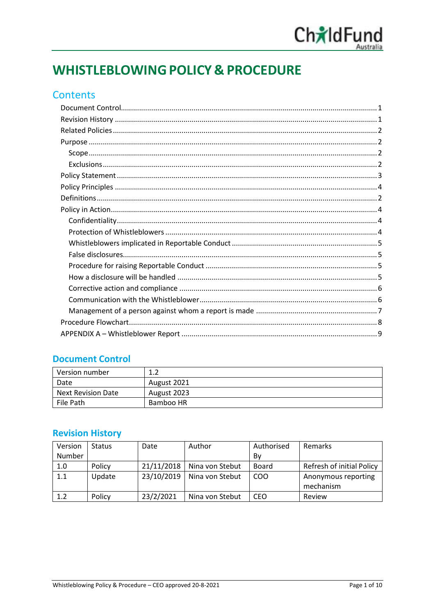

# **WHISTLEBLOWING POLICY & PROCEDURE**

# **Contents**

## <span id="page-0-0"></span>**Document Control**

| Version number            |             |
|---------------------------|-------------|
| Date                      | August 2021 |
| <b>Next Revision Date</b> | August 2023 |
| File Path                 | Bamboo HR   |

## <span id="page-0-1"></span>**Revision History**

<span id="page-0-2"></span>

| Version | <b>Status</b> | Date       | Author          | Authorised | Remarks                   |
|---------|---------------|------------|-----------------|------------|---------------------------|
| Number  |               |            |                 | Bv         |                           |
| 1.0     | Policy        | 21/11/2018 | Nina von Stebut | Board      | Refresh of initial Policy |
| 1.1     | Update        | 23/10/2019 | Nina von Stebut | COO        | Anonymous reporting       |
|         |               |            |                 |            | mechanism                 |
| 1.2     | Policy        | 23/2/2021  | Nina von Stebut | CEO        | Review                    |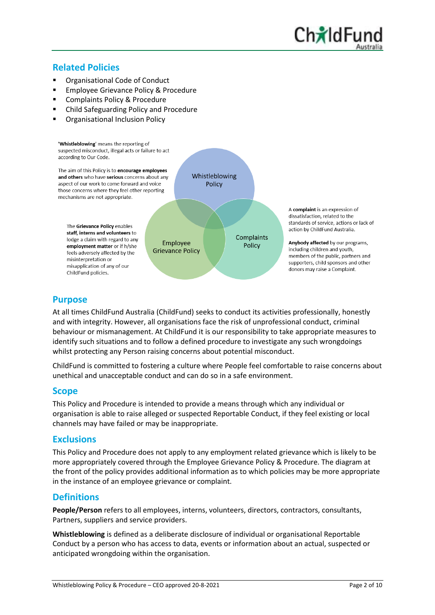# **Related Policies**

- Organisational Code of Conduct
- **Employee Grievance Policy & Procedure**
- Complaints Policy & Procedure
- Child Safeguarding Policy and Procedure
- **Organisational Inclusion Policy**



## <span id="page-1-0"></span>**Purpose**

At all times ChildFund Australia (ChildFund) seeks to conduct its activities professionally, honestly and with integrity. However, all organisations face the risk of unprofessional conduct, criminal behaviour or mismanagement. At ChildFund it is our responsibility to take appropriate measures to identify such situations and to follow a defined procedure to investigate any such wrongdoings whilst protecting any Person raising concerns about potential misconduct.

ChildFund is committed to fostering a culture where People feel comfortable to raise concerns about unethical and unacceptable conduct and can do so in a safe environment.

## <span id="page-1-1"></span>**Scope**

This Policy and Procedure is intended to provide a means through which any individual or organisation is able to raise alleged or suspected Reportable Conduct, if they feel existing or local channels may have failed or may be inappropriate.

## <span id="page-1-2"></span>**Exclusions**

This Policy and Procedure does not apply to any employment related grievance which is likely to be more appropriately covered through the Employee Grievance Policy & Procedure. The diagram at the front of the policy provides additional information as to which policies may be more appropriate in the instance of an employee grievance or complaint.

## <span id="page-1-3"></span>**Definitions**

**People/Person** refers to all employees, interns, volunteers, directors, contractors, consultants, Partners, suppliers and service providers.

**Whistleblowing** is defined as a deliberate disclosure of individual or organisational Reportable Conduct by a person who has access to data, events or information about an actual, suspected or anticipated wrongdoing within the organisation.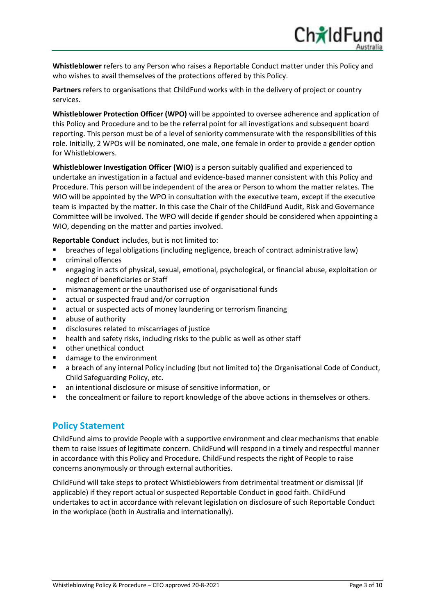**Whistleblower** refers to any Person who raises a Reportable Conduct matter under this Policy and who wishes to avail themselves of the protections offered by this Policy.

**Partners** refers to organisations that ChildFund works with in the delivery of project or country services.

**Whistleblower Protection Officer (WPO)** will be appointed to oversee adherence and application of this Policy and Procedure and to be the referral point for all investigations and subsequent board reporting. This person must be of a level of seniority commensurate with the responsibilities of this role. Initially, 2 WPOs will be nominated, one male, one female in order to provide a gender option for Whistleblowers.

**Whistleblower Investigation Officer (WIO)** is a person suitably qualified and experienced to undertake an investigation in a factual and evidence-based manner consistent with this Policy and Procedure. This person will be independent of the area or Person to whom the matter relates. The WIO will be appointed by the WPO in consultation with the executive team, except if the executive team is impacted by the matter. In this case the Chair of the ChildFund Audit, Risk and Governance Committee will be involved. The WPO will decide if gender should be considered when appointing a WIO, depending on the matter and parties involved.

**Reportable Conduct** includes, but is not limited to:

- breaches of legal obligations (including negligence, breach of contract administrative law)
- criminal offences
- engaging in acts of physical, sexual, emotional, psychological, or financial abuse, exploitation or neglect of beneficiaries or Staff
- mismanagement or the unauthorised use of organisational funds
- actual or suspected fraud and/or corruption
- actual or suspected acts of money laundering or terrorism financing
- abuse of authority
- disclosures related to miscarriages of justice
- health and safety risks, including risks to the public as well as other staff
- other unethical conduct
- damage to the environment
- a breach of any internal Policy including (but not limited to) the Organisational Code of Conduct, Child Safeguarding Policy, etc.
- an intentional disclosure or misuse of sensitive information, or
- the concealment or failure to report knowledge of the above actions in themselves or others.

## <span id="page-2-0"></span>**Policy Statement**

ChildFund aims to provide People with a supportive environment and clear mechanisms that enable them to raise issues of legitimate concern. ChildFund will respond in a timely and respectful manner in accordance with this Policy and Procedure. ChildFund respects the right of People to raise concerns anonymously or through external authorities.

ChildFund will take steps to protect Whistleblowers from detrimental treatment or dismissal (if applicable) if they report actual or suspected Reportable Conduct in good faith. ChildFund undertakes to act in accordance with relevant legislation on disclosure of such Reportable Conduct in the workplace (both in Australia and internationally).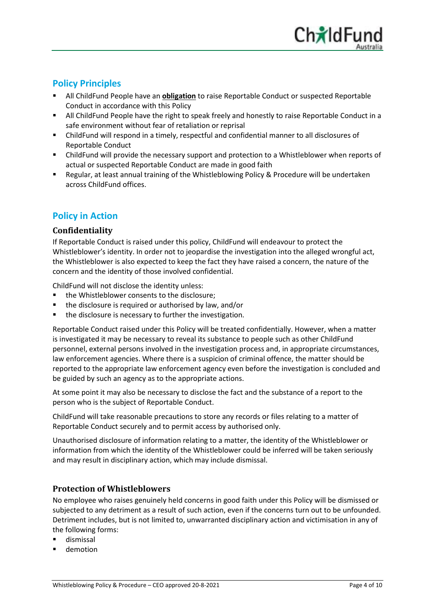# <span id="page-3-0"></span>**Policy Principles**

- All ChildFund People have an **obligation** to raise Reportable Conduct or suspected Reportable Conduct in accordance with this Policy
- All ChildFund People have the right to speak freely and honestly to raise Reportable Conduct in a safe environment without fear of retaliation or reprisal
- ChildFund will respond in a timely, respectful and confidential manner to all disclosures of Reportable Conduct
- ChildFund will provide the necessary support and protection to a Whistleblower when reports of actual or suspected Reportable Conduct are made in good faith
- Regular, at least annual training of the Whistleblowing Policy & Procedure will be undertaken across ChildFund offices.

# <span id="page-3-1"></span>**Policy in Action**

#### <span id="page-3-2"></span>**Confidentiality**

If Reportable Conduct is raised under this policy, ChildFund will endeavour to protect the Whistleblower's identity. In order not to jeopardise the investigation into the alleged wrongful act, the Whistleblower is also expected to keep the fact they have raised a concern, the nature of the concern and the identity of those involved confidential.

ChildFund will not disclose the identity unless:

- the Whistleblower consents to the disclosure:
- the disclosure is required or authorised by law, and/or
- the disclosure is necessary to further the investigation.

Reportable Conduct raised under this Policy will be treated confidentially. However, when a matter is investigated it may be necessary to reveal its substance to people such as other ChildFund personnel, external persons involved in the investigation process and, in appropriate circumstances, law enforcement agencies. Where there is a suspicion of criminal offence, the matter should be reported to the appropriate law enforcement agency even before the investigation is concluded and be guided by such an agency as to the appropriate actions.

At some point it may also be necessary to disclose the fact and the substance of a report to the person who is the subject of Reportable Conduct.

ChildFund will take reasonable precautions to store any records or files relating to a matter of Reportable Conduct securely and to permit access by authorised only.

Unauthorised disclosure of information relating to a matter, the identity of the Whistleblower or information from which the identity of the Whistleblower could be inferred will be taken seriously and may result in disciplinary action, which may include dismissal.

## <span id="page-3-3"></span>**Protection of Whistleblowers**

No employee who raises genuinely held concerns in good faith under this Policy will be dismissed or subjected to any detriment as a result of such action, even if the concerns turn out to be unfounded. Detriment includes, but is not limited to, unwarranted disciplinary action and victimisation in any of the following forms:

- dismissal
- demotion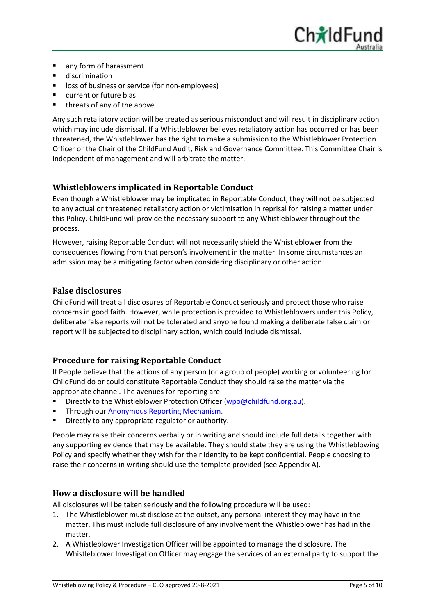

- any form of harassment
- discrimination
- loss of business or service (for non-employees)
- current or future bias
- threats of any of the above

Any such retaliatory action will be treated as serious misconduct and will result in disciplinary action which may include dismissal. If a Whistleblower believes retaliatory action has occurred or has been threatened, the Whistleblower has the right to make a submission to the Whistleblower Protection Officer or the Chair of the ChildFund Audit, Risk and Governance Committee. This Committee Chair is independent of management and will arbitrate the matter.

## <span id="page-4-0"></span>**Whistleblowers implicated in Reportable Conduct**

Even though a Whistleblower may be implicated in Reportable Conduct, they will not be subjected to any actual or threatened retaliatory action or victimisation in reprisal for raising a matter under this Policy. ChildFund will provide the necessary support to any Whistleblower throughout the process.

However, raising Reportable Conduct will not necessarily shield the Whistleblower from the consequences flowing from that person's involvement in the matter. In some circumstances an admission may be a mitigating factor when considering disciplinary or other action.

#### <span id="page-4-1"></span>**False disclosures**

ChildFund will treat all disclosures of Reportable Conduct seriously and protect those who raise concerns in good faith. However, while protection is provided to Whistleblowers under this Policy, deliberate false reports will not be tolerated and anyone found making a deliberate false claim or report will be subjected to disciplinary action, which could include dismissal.

## <span id="page-4-2"></span>**Procedure for raising Reportable Conduct**

If People believe that the actions of any person (or a group of people) working or volunteering for ChildFund do or could constitute Reportable Conduct they should raise the matter via the appropriate channel. The avenues for reporting are:

- Directly to the Whistleblower Protection Officer [\(wpo@childfund.org.au\)](mailto:wpo@childfund.org.au).
- Through our [Anonymous Reporting Mechanism.](https://childfund.whispli.com/anonymous_reporting_mechanism)
- Directly to any appropriate regulator or authority.

People may raise their concerns verbally or in writing and should include full details together with any supporting evidence that may be available. They should state they are using the Whistleblowing Policy and specify whether they wish for their identity to be kept confidential. People choosing to raise their concerns in writing should use the template provided (see Appendix A).

#### <span id="page-4-3"></span>**How a disclosure will be handled**

All disclosures will be taken seriously and the following procedure will be used:

- 1. The Whistleblower must disclose at the outset, any personal interest they may have in the matter. This must include full disclosure of any involvement the Whistleblower has had in the matter.
- 2. A Whistleblower Investigation Officer will be appointed to manage the disclosure. The Whistleblower Investigation Officer may engage the services of an external party to support the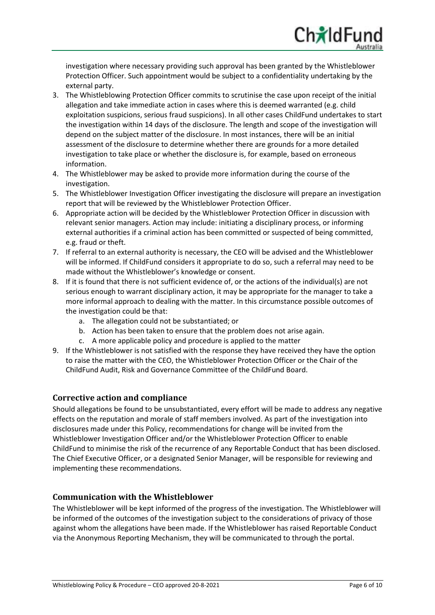investigation where necessary providing such approval has been granted by the Whistleblower Protection Officer. Such appointment would be subject to a confidentiality undertaking by the external party.

ChidF

- 3. The Whistleblowing Protection Officer commits to scrutinise the case upon receipt of the initial allegation and take immediate action in cases where this is deemed warranted (e.g. child exploitation suspicions, serious fraud suspicions). In all other cases ChildFund undertakes to start the investigation within 14 days of the disclosure. The length and scope of the investigation will depend on the subject matter of the disclosure. In most instances, there will be an initial assessment of the disclosure to determine whether there are grounds for a more detailed investigation to take place or whether the disclosure is, for example, based on erroneous information.
- 4. The Whistleblower may be asked to provide more information during the course of the investigation.
- 5. The Whistleblower Investigation Officer investigating the disclosure will prepare an investigation report that will be reviewed by the Whistleblower Protection Officer.
- 6. Appropriate action will be decided by the Whistleblower Protection Officer in discussion with relevant senior managers. Action may include: initiating a disciplinary process, or informing external authorities if a criminal action has been committed or suspected of being committed, e.g. fraud or theft.
- 7. If referral to an external authority is necessary, the CEO will be advised and the Whistleblower will be informed. If ChildFund considers it appropriate to do so, such a referral may need to be made without the Whistleblower's knowledge or consent.
- 8. If it is found that there is not sufficient evidence of, or the actions of the individual(s) are not serious enough to warrant disciplinary action, it may be appropriate for the manager to take a more informal approach to dealing with the matter. In this circumstance possible outcomes of the investigation could be that:
	- a. The allegation could not be substantiated; or
	- b. Action has been taken to ensure that the problem does not arise again.
	- c. A more applicable policy and procedure is applied to the matter
- 9. If the Whistleblower is not satisfied with the response they have received they have the option to raise the matter with the CEO, the Whistleblower Protection Officer or the Chair of the ChildFund Audit, Risk and Governance Committee of the ChildFund Board.

## <span id="page-5-0"></span>**Corrective action and compliance**

Should allegations be found to be unsubstantiated, every effort will be made to address any negative effects on the reputation and morale of staff members involved. As part of the investigation into disclosures made under this Policy, recommendations for change will be invited from the Whistleblower Investigation Officer and/or the Whistleblower Protection Officer to enable ChildFund to minimise the risk of the recurrence of any Reportable Conduct that has been disclosed. The Chief Executive Officer, or a designated Senior Manager, will be responsible for reviewing and implementing these recommendations.

#### <span id="page-5-1"></span>**Communication with the Whistleblower**

The Whistleblower will be kept informed of the progress of the investigation. The Whistleblower will be informed of the outcomes of the investigation subject to the considerations of privacy of those against whom the allegations have been made. If the Whistleblower has raised Reportable Conduct via the Anonymous Reporting Mechanism, they will be communicated to through the portal.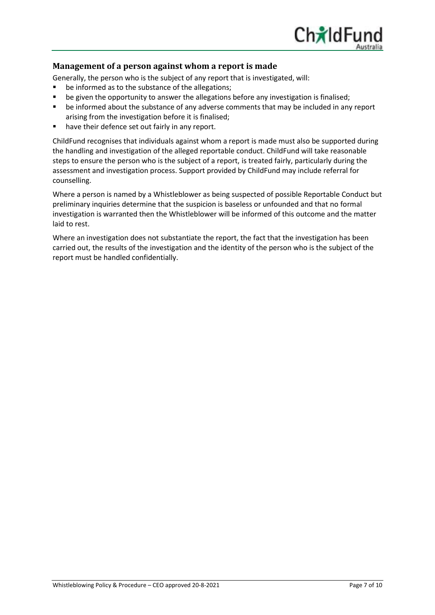

#### <span id="page-6-0"></span>**Management of a person against whom a report is made**

Generally, the person who is the subject of any report that is investigated, will:

- be informed as to the substance of the allegations;
- be given the opportunity to answer the allegations before any investigation is finalised;
- be informed about the substance of any adverse comments that may be included in any report arising from the investigation before it is finalised;
- have their defence set out fairly in any report.

ChildFund recognises that individuals against whom a report is made must also be supported during the handling and investigation of the alleged reportable conduct. ChildFund will take reasonable steps to ensure the person who is the subject of a report, is treated fairly, particularly during the assessment and investigation process. Support provided by ChildFund may include referral for counselling.

Where a person is named by a Whistleblower as being suspected of possible Reportable Conduct but preliminary inquiries determine that the suspicion is baseless or unfounded and that no formal investigation is warranted then the Whistleblower will be informed of this outcome and the matter laid to rest.

Where an investigation does not substantiate the report, the fact that the investigation has been carried out, the results of the investigation and the identity of the person who is the subject of the report must be handled confidentially.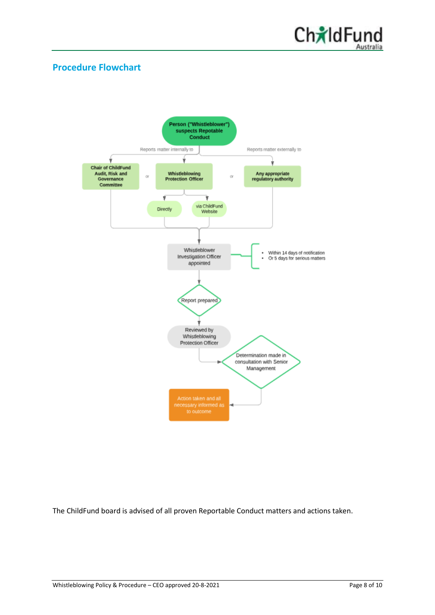

## <span id="page-7-0"></span>**Procedure Flowchart**



The ChildFund board is advised of all proven Reportable Conduct matters and actions taken.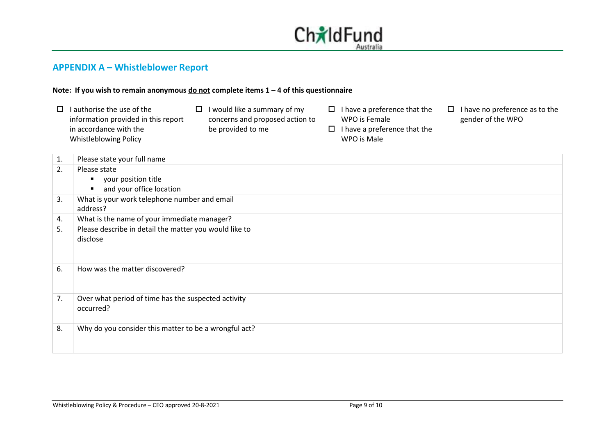

## **APPENDIX A – Whistleblower Report**

#### **Note: If you wish to remain anonymous do not complete items 1 – 4 of this questionnaire**

- $\Box$  I authorise the use of the information provided in this report in accordance with the Whistleblowing Policy
- $\Box$  I would like a summary of my concerns and proposed action to be provided to me
- $\Box$  I have a preference that the WPO is Female
- $\Box$  I have a preference that the WPO is Male
- $\Box$  I have no preference as to the gender of the WPO

<span id="page-8-0"></span>

| 1. | Please state your full name                                        |  |
|----|--------------------------------------------------------------------|--|
| 2. | Please state                                                       |  |
|    | your position title<br>٠                                           |  |
|    | and your office location                                           |  |
| 3. | What is your work telephone number and email<br>address?           |  |
| 4. | What is the name of your immediate manager?                        |  |
| 5. | Please describe in detail the matter you would like to<br>disclose |  |
| 6. | How was the matter discovered?                                     |  |
| 7. | Over what period of time has the suspected activity<br>occurred?   |  |
| 8. | Why do you consider this matter to be a wrongful act?              |  |